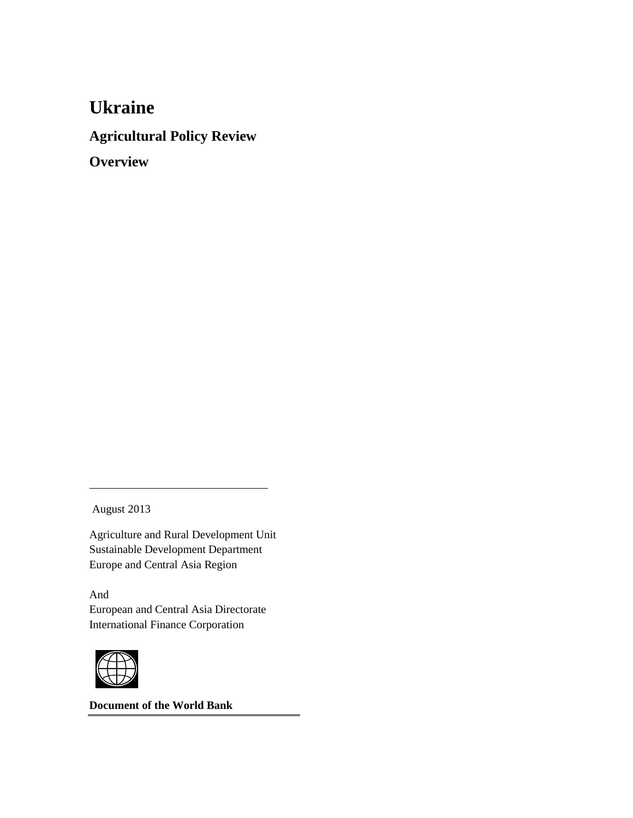## **Ukraine**

**Agricultural Policy Review**

**Overview**

August 2013

Agriculture and Rural Development Unit Sustainable Development Department Europe and Central Asia Region

And European and Central Asia Directorate International Finance Corporation



**Document of the World Bank**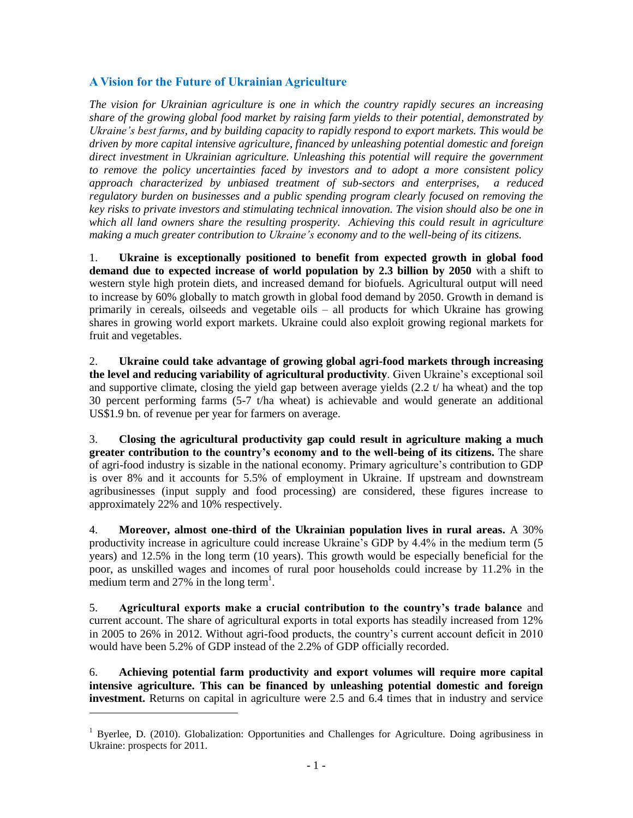## **A Vision for the Future of Ukrainian Agriculture**

*The vision for Ukrainian agriculture is one in which the country rapidly secures an increasing share of the growing global food market by raising farm yields to their potential, demonstrated by Ukraine's best farms, and by building capacity to rapidly respond to export markets. This would be driven by more capital intensive agriculture, financed by unleashing potential domestic and foreign direct investment in Ukrainian agriculture. Unleashing this potential will require the government to remove the policy uncertainties faced by investors and to adopt a more consistent policy approach characterized by unbiased treatment of sub-sectors and enterprises, a reduced regulatory burden on businesses and a public spending program clearly focused on removing the key risks to private investors and stimulating technical innovation. The vision should also be one in which all land owners share the resulting prosperity. Achieving this could result in agriculture making a much greater contribution to Ukraine's economy and to the well-being of its citizens.*

1. **Ukraine is exceptionally positioned to benefit from expected growth in global food demand due to expected increase of world population by 2.3 billion by 2050** with a shift to western style high protein diets, and increased demand for biofuels. Agricultural output will need to increase by 60% globally to match growth in global food demand by 2050. Growth in demand is primarily in cereals, oilseeds and vegetable oils – all products for which Ukraine has growing shares in growing world export markets. Ukraine could also exploit growing regional markets for fruit and vegetables.

2. **Ukraine could take advantage of growing global agri-food markets through increasing the level and reducing variability of agricultural productivity**. Given Ukraine's exceptional soil and supportive climate, closing the yield gap between average yields  $(2.2 t / ha$  wheat) and the top 30 percent performing farms (5-7 t/ha wheat) is achievable and would generate an additional US\$1.9 bn. of revenue per year for farmers on average.

3. **Closing the agricultural productivity gap could result in agriculture making a much greater contribution to the country's economy and to the well-being of its citizens.** The share of agri-food industry is sizable in the national economy. Primary agriculture's contribution to GDP is over 8% and it accounts for 5.5% of employment in Ukraine. If upstream and downstream agribusinesses (input supply and food processing) are considered, these figures increase to approximately 22% and 10% respectively.

4. **Moreover, almost one-third of the Ukrainian population lives in rural areas.** A 30% productivity increase in agriculture could increase Ukraine's GDP by 4.4% in the medium term (5 years) and 12.5% in the long term (10 years). This growth would be especially beneficial for the poor, as unskilled wages and incomes of rural poor households could increase by 11.2% in the medium term and  $27\%$  in the long term<sup>1</sup>.

5. **Agricultural exports make a crucial contribution to the country's trade balance** and current account. The share of agricultural exports in total exports has steadily increased from 12% in 2005 to 26% in 2012. Without agri-food products, the country's current account deficit in 2010 would have been 5.2% of GDP instead of the 2.2% of GDP officially recorded.

6. **Achieving potential farm productivity and export volumes will require more capital intensive agriculture. This can be financed by unleashing potential domestic and foreign investment.** Returns on capital in agriculture were 2.5 and 6.4 times that in industry and service

 $\overline{a}$ 

<sup>&</sup>lt;sup>1</sup> Byerlee, D. (2010). Globalization: Opportunities and Challenges for Agriculture. Doing agribusiness in Ukraine: prospects for 2011.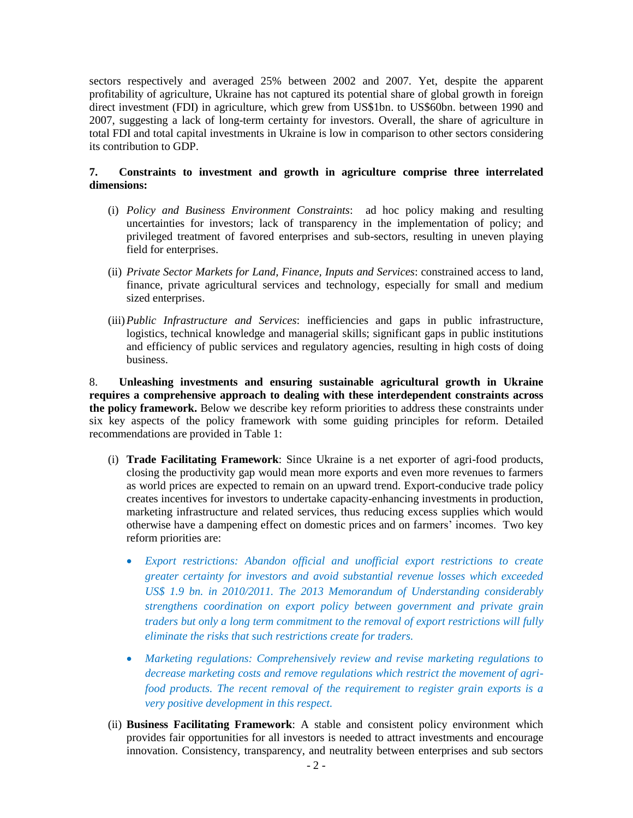sectors respectively and averaged 25% between 2002 and 2007. Yet, despite the apparent profitability of agriculture, Ukraine has not captured its potential share of global growth in foreign direct investment (FDI) in agriculture, which grew from US\$1bn. to US\$60bn. between 1990 and 2007, suggesting a lack of long-term certainty for investors. Overall, the share of agriculture in total FDI and total capital investments in Ukraine is low in comparison to other sectors considering its contribution to GDP.

## **7. Constraints to investment and growth in agriculture comprise three interrelated dimensions:**

- (i) *Policy and Business Environment Constraints*: ad hoc policy making and resulting uncertainties for investors; lack of transparency in the implementation of policy; and privileged treatment of favored enterprises and sub-sectors, resulting in uneven playing field for enterprises.
- (ii) *Private Sector Markets for Land, Finance, Inputs and Services*: constrained access to land, finance, private agricultural services and technology, especially for small and medium sized enterprises.
- (iii)*Public Infrastructure and Services*: inefficiencies and gaps in public infrastructure, logistics, technical knowledge and managerial skills; significant gaps in public institutions and efficiency of public services and regulatory agencies, resulting in high costs of doing business.

8. **Unleashing investments and ensuring sustainable agricultural growth in Ukraine requires a comprehensive approach to dealing with these interdependent constraints across the policy framework.** Below we describe key reform priorities to address these constraints under six key aspects of the policy framework with some guiding principles for reform. Detailed recommendations are provided in Table 1:

- (i) **Trade Facilitating Framework**: Since Ukraine is a net exporter of agri-food products, closing the productivity gap would mean more exports and even more revenues to farmers as world prices are expected to remain on an upward trend. Export-conducive trade policy creates incentives for investors to undertake capacity-enhancing investments in production, marketing infrastructure and related services, thus reducing excess supplies which would otherwise have a dampening effect on domestic prices and on farmers' incomes. Two key reform priorities are:
	- *Export restrictions: Abandon official and unofficial export restrictions to create greater certainty for investors and avoid substantial revenue losses which exceeded US\$ 1.9 bn. in 2010/2011. The 2013 Memorandum of Understanding considerably strengthens coordination on export policy between government and private grain traders but only a long term commitment to the removal of export restrictions will fully eliminate the risks that such restrictions create for traders.*
	- *Marketing regulations: Comprehensively review and revise marketing regulations to decrease marketing costs and remove regulations which restrict the movement of agrifood products. The recent removal of the requirement to register grain exports is a very positive development in this respect.*
- (ii) **Business Facilitating Framework**: A stable and consistent policy environment which provides fair opportunities for all investors is needed to attract investments and encourage innovation. Consistency, transparency, and neutrality between enterprises and sub sectors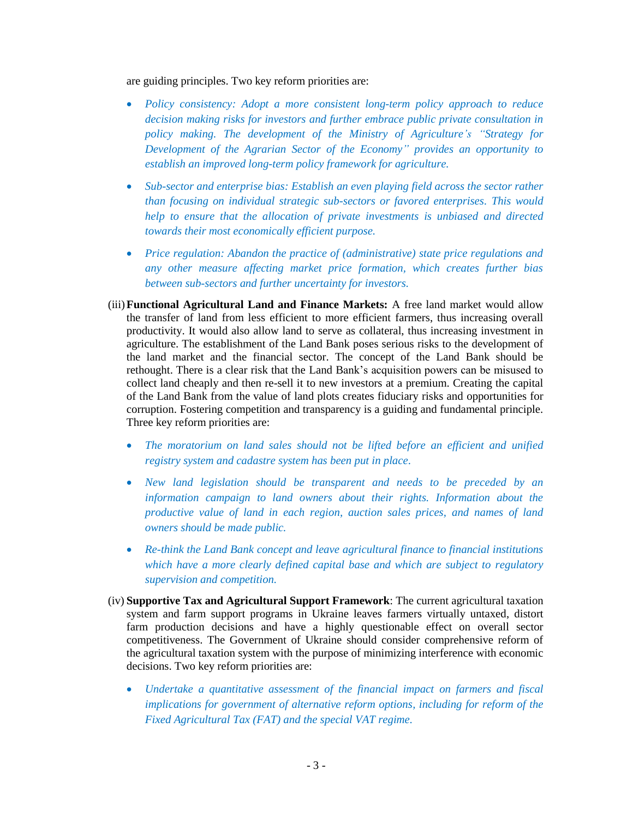are guiding principles. Two key reform priorities are:

- *Policy consistency: Adopt a more consistent long-term policy approach to reduce decision making risks for investors and further embrace public private consultation in policy making. The development of the Ministry of Agriculture's "Strategy for Development of the Agrarian Sector of the Economy" provides an opportunity to establish an improved long-term policy framework for agriculture.*
- Sub-sector and enterprise bias: Establish an even playing field across the sector rather *than focusing on individual strategic sub-sectors or favored enterprises. This would help to ensure that the allocation of private investments is unbiased and directed towards their most economically efficient purpose.*
- *Price regulation: Abandon the practice of (administrative) state price regulations and any other measure affecting market price formation, which creates further bias between sub-sectors and further uncertainty for investors.*
- (iii)**Functional Agricultural Land and Finance Markets:** A free land market would allow the transfer of land from less efficient to more efficient farmers, thus increasing overall productivity. It would also allow land to serve as collateral, thus increasing investment in agriculture. The establishment of the Land Bank poses serious risks to the development of the land market and the financial sector. The concept of the Land Bank should be rethought. There is a clear risk that the Land Bank's acquisition powers can be misused to collect land cheaply and then re-sell it to new investors at a premium. Creating the capital of the Land Bank from the value of land plots creates fiduciary risks and opportunities for corruption. Fostering competition and transparency is a guiding and fundamental principle. Three key reform priorities are:
	- *The moratorium on land sales should not be lifted before an efficient and unified registry system and cadastre system has been put in place.*
	- *New land legislation should be transparent and needs to be preceded by an information campaign to land owners about their rights. Information about the productive value of land in each region, auction sales prices, and names of land owners should be made public.*
	- *Re-think the Land Bank concept and leave agricultural finance to financial institutions which have a more clearly defined capital base and which are subject to regulatory supervision and competition.*
- (iv) **Supportive Tax and Agricultural Support Framework**: The current agricultural taxation system and farm support programs in Ukraine leaves farmers virtually untaxed, distort farm production decisions and have a highly questionable effect on overall sector competitiveness. The Government of Ukraine should consider comprehensive reform of the agricultural taxation system with the purpose of minimizing interference with economic decisions. Two key reform priorities are:
	- *Undertake a quantitative assessment of the financial impact on farmers and fiscal implications for government of alternative reform options, including for reform of the Fixed Agricultural Tax (FAT) and the special VAT regime.*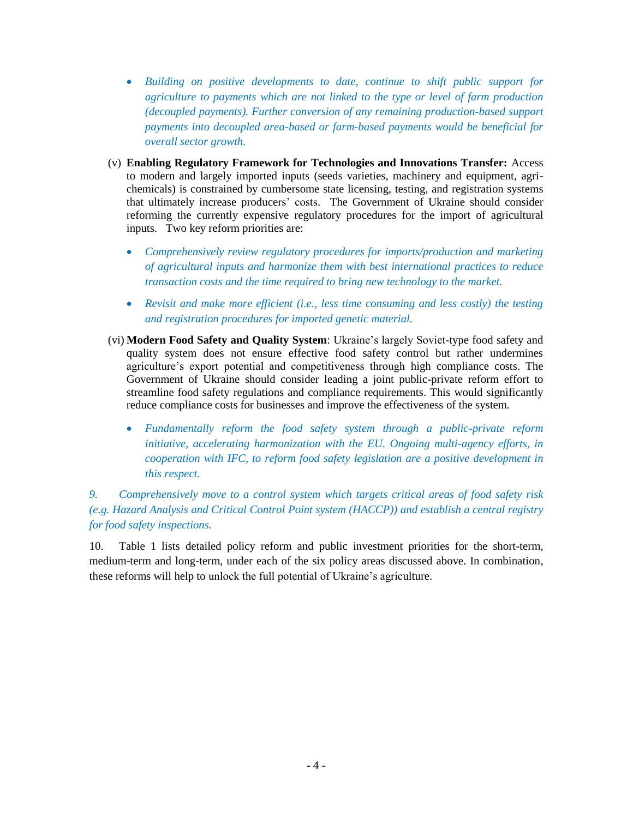- *Building on positive developments to date, continue to shift public support for agriculture to payments which are not linked to the type or level of farm production (decoupled payments). Further conversion of any remaining production-based support payments into decoupled area-based or farm-based payments would be beneficial for overall sector growth.*
- (v) **Enabling Regulatory Framework for Technologies and Innovations Transfer:** Access to modern and largely imported inputs (seeds varieties, machinery and equipment, agrichemicals) is constrained by cumbersome state licensing, testing, and registration systems that ultimately increase producers' costs. The Government of Ukraine should consider reforming the currently expensive regulatory procedures for the import of agricultural inputs. Two key reform priorities are:
	- *Comprehensively review regulatory procedures for imports/production and marketing of agricultural inputs and harmonize them with best international practices to reduce transaction costs and the time required to bring new technology to the market.*
	- *Revisit and make more efficient (i.e., less time consuming and less costly) the testing and registration procedures for imported genetic material.*
- (vi) **Modern Food Safety and Quality System**: Ukraine's largely Soviet-type food safety and quality system does not ensure effective food safety control but rather undermines agriculture's export potential and competitiveness through high compliance costs. The Government of Ukraine should consider leading a joint public-private reform effort to streamline food safety regulations and compliance requirements. This would significantly reduce compliance costs for businesses and improve the effectiveness of the system.
	- *Fundamentally reform the food safety system through a public-private reform initiative, accelerating harmonization with the EU. Ongoing multi-agency efforts, in cooperation with IFC, to reform food safety legislation are a positive development in this respect.*

*9. Comprehensively move to a control system which targets critical areas of food safety risk (e.g. Hazard Analysis and Critical Control Point system (HACCP)) and establish a central registry for food safety inspections.*

10. Table 1 lists detailed policy reform and public investment priorities for the short-term, medium-term and long-term, under each of the six policy areas discussed above. In combination, these reforms will help to unlock the full potential of Ukraine's agriculture.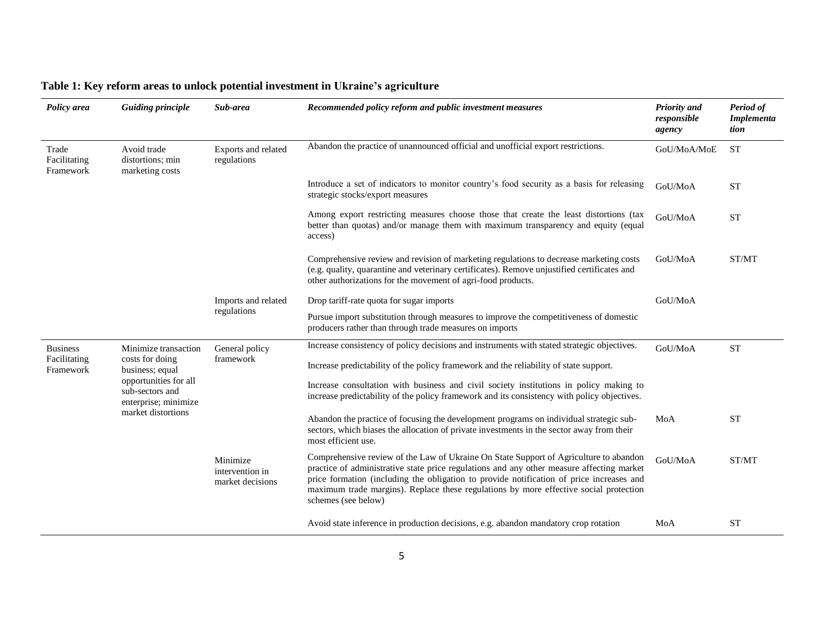| Policy area                                  | <b>Guiding principle</b>                                                                                                                             | Sub-area                                                                       | Recommended policy reform and public investment measures                                                                                                                                                                                                                                                                                                                                       | <b>Priority</b> and<br>responsible<br>agency | Period of<br><b>Implementa</b><br>tion |
|----------------------------------------------|------------------------------------------------------------------------------------------------------------------------------------------------------|--------------------------------------------------------------------------------|------------------------------------------------------------------------------------------------------------------------------------------------------------------------------------------------------------------------------------------------------------------------------------------------------------------------------------------------------------------------------------------------|----------------------------------------------|----------------------------------------|
| Trade<br>Facilitating<br>Framework           | Avoid trade<br>distortions; min<br>marketing costs                                                                                                   | Exports and related<br>regulations                                             | Abandon the practice of unannounced official and unofficial export restrictions.                                                                                                                                                                                                                                                                                                               | GoU/MoA/MoE                                  | <b>ST</b>                              |
|                                              |                                                                                                                                                      |                                                                                | Introduce a set of indicators to monitor country's food security as a basis for releasing<br>strategic stocks/export measures                                                                                                                                                                                                                                                                  | GoU/MoA                                      | <b>ST</b>                              |
|                                              |                                                                                                                                                      |                                                                                | Among export restricting measures choose those that create the least distortions (tax<br>better than quotas) and/or manage them with maximum transparency and equity (equal<br>access)                                                                                                                                                                                                         | GoU/MoA                                      | <b>ST</b>                              |
|                                              |                                                                                                                                                      |                                                                                | Comprehensive review and revision of marketing regulations to decrease marketing costs<br>(e.g. quality, quarantine and veterinary certificates). Remove unjustified certificates and<br>other authorizations for the movement of agri-food products.                                                                                                                                          | GoU/MoA                                      | ST/MT                                  |
|                                              |                                                                                                                                                      | Imports and related<br>regulations                                             | Drop tariff-rate quota for sugar imports                                                                                                                                                                                                                                                                                                                                                       | GoU/MoA                                      |                                        |
|                                              |                                                                                                                                                      |                                                                                | Pursue import substitution through measures to improve the competitiveness of domestic<br>producers rather than through trade measures on imports                                                                                                                                                                                                                                              |                                              |                                        |
| <b>Business</b><br>Facilitating<br>Framework | Minimize transaction<br>costs for doing<br>business; equal<br>opportunities for all<br>sub-sectors and<br>enterprise; minimize<br>market distortions | General policy<br>framework<br>Minimize<br>intervention in<br>market decisions | Increase consistency of policy decisions and instruments with stated strategic objectives.                                                                                                                                                                                                                                                                                                     | GoU/MoA                                      | <b>ST</b>                              |
|                                              |                                                                                                                                                      |                                                                                | Increase predictability of the policy framework and the reliability of state support.                                                                                                                                                                                                                                                                                                          |                                              |                                        |
|                                              |                                                                                                                                                      |                                                                                | Increase consultation with business and civil society institutions in policy making to<br>increase predictability of the policy framework and its consistency with policy objectives.                                                                                                                                                                                                          |                                              |                                        |
|                                              |                                                                                                                                                      |                                                                                | Abandon the practice of focusing the development programs on individual strategic sub-<br>sectors, which biases the allocation of private investments in the sector away from their<br>most efficient use.                                                                                                                                                                                     | MoA                                          | <b>ST</b>                              |
|                                              |                                                                                                                                                      |                                                                                | Comprehensive review of the Law of Ukraine On State Support of Agriculture to abandon<br>practice of administrative state price regulations and any other measure affecting market<br>price formation (including the obligation to provide notification of price increases and<br>maximum trade margins). Replace these regulations by more effective social protection<br>schemes (see below) | GoU/MoA                                      | ST/MT                                  |
|                                              |                                                                                                                                                      |                                                                                | Avoid state inference in production decisions, e.g. abandon mandatory crop rotation                                                                                                                                                                                                                                                                                                            | MoA                                          | <b>ST</b>                              |

## **Table 1: Key reform areas to unlock potential investment in Ukraine's agriculture**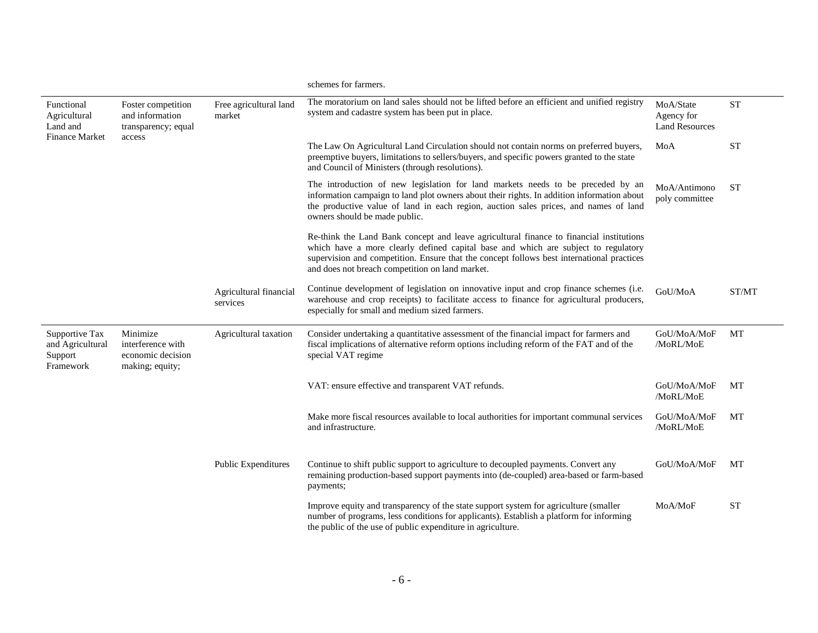|                                                                 |                                                                        |                                    | schemes for farmers.                                                                                                                                                                                                                                                                                                          |                                                  |           |
|-----------------------------------------------------------------|------------------------------------------------------------------------|------------------------------------|-------------------------------------------------------------------------------------------------------------------------------------------------------------------------------------------------------------------------------------------------------------------------------------------------------------------------------|--------------------------------------------------|-----------|
| Functional<br>Agricultural<br>Land and<br><b>Finance Market</b> | Foster competition<br>and information<br>transparency; equal<br>access | Free agricultural land<br>market   | The moratorium on land sales should not be lifted before an efficient and unified registry<br>system and cadastre system has been put in place.                                                                                                                                                                               | MoA/State<br>Agency for<br><b>Land Resources</b> | <b>ST</b> |
|                                                                 |                                                                        |                                    | The Law On Agricultural Land Circulation should not contain norms on preferred buyers,<br>preemptive buyers, limitations to sellers/buyers, and specific powers granted to the state<br>and Council of Ministers (through resolutions).                                                                                       | MoA                                              | <b>ST</b> |
|                                                                 |                                                                        |                                    | The introduction of new legislation for land markets needs to be preceded by an<br>information campaign to land plot owners about their rights. In addition information about<br>the productive value of land in each region, auction sales prices, and names of land<br>owners should be made public.                        | MoA/Antimono<br>poly committee                   | <b>ST</b> |
|                                                                 |                                                                        |                                    | Re-think the Land Bank concept and leave agricultural finance to financial institutions<br>which have a more clearly defined capital base and which are subject to regulatory<br>supervision and competition. Ensure that the concept follows best international practices<br>and does not breach competition on land market. |                                                  |           |
|                                                                 |                                                                        | Agricultural financial<br>services | Continue development of legislation on innovative input and crop finance schemes (i.e.<br>warehouse and crop receipts) to facilitate access to finance for agricultural producers,<br>especially for small and medium sized farmers.                                                                                          | GoU/MoA                                          | ST/MT     |
| Supportive Tax<br>and Agricultural<br>Support<br>Framework      | Minimize<br>interference with<br>economic decision<br>making; equity;  | Agricultural taxation              | Consider undertaking a quantitative assessment of the financial impact for farmers and<br>fiscal implications of alternative reform options including reform of the FAT and of the<br>special VAT regime                                                                                                                      | GoU/MoA/MoF<br>/MoRL/MoE                         | MT        |
|                                                                 |                                                                        |                                    | VAT: ensure effective and transparent VAT refunds.                                                                                                                                                                                                                                                                            | GoU/MoA/MoF<br>/MoRL/MoE                         | MT        |
|                                                                 |                                                                        |                                    | Make more fiscal resources available to local authorities for important communal services<br>and infrastructure.                                                                                                                                                                                                              | GoU/MoA/MoF<br>/MoRL/MoE                         | MT        |
|                                                                 |                                                                        | <b>Public Expenditures</b>         | Continue to shift public support to agriculture to decoupled payments. Convert any<br>remaining production-based support payments into (de-coupled) area-based or farm-based<br>payments;                                                                                                                                     | GoU/MoA/MoF                                      | MT        |
|                                                                 |                                                                        |                                    | Improve equity and transparency of the state support system for agriculture (smaller<br>number of programs, less conditions for applicants). Establish a platform for informing<br>the public of the use of public expenditure in agriculture.                                                                                | MoA/MoF                                          | <b>ST</b> |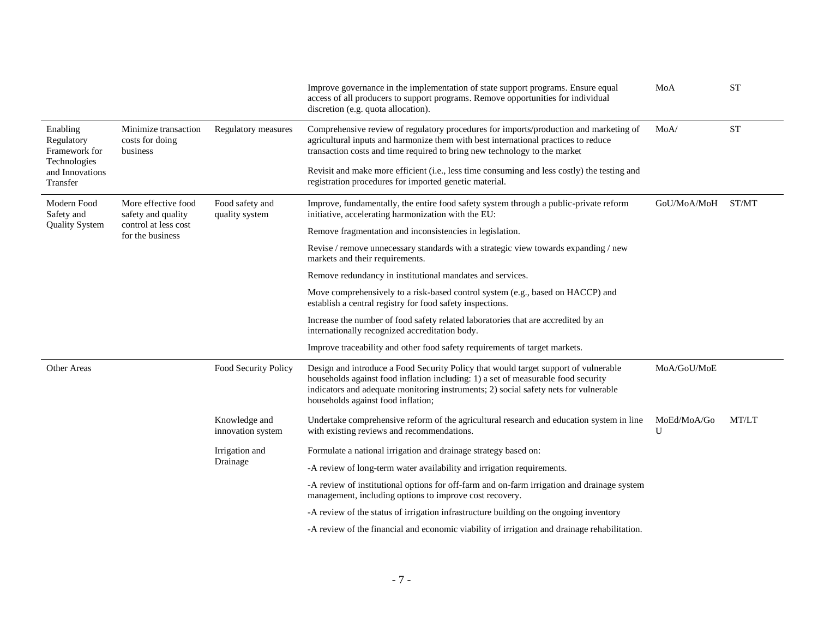|                                                                                        |                                                                                       |                                    | Improve governance in the implementation of state support programs. Ensure equal<br>access of all producers to support programs. Remove opportunities for individual<br>discretion (e.g. quota allocation).                                                                                            | MoA              | <b>ST</b> |
|----------------------------------------------------------------------------------------|---------------------------------------------------------------------------------------|------------------------------------|--------------------------------------------------------------------------------------------------------------------------------------------------------------------------------------------------------------------------------------------------------------------------------------------------------|------------------|-----------|
| Enabling<br>Regulatory<br>Framework for<br>Technologies<br>and Innovations<br>Transfer | Minimize transaction<br>costs for doing<br>business                                   | Regulatory measures                | Comprehensive review of regulatory procedures for imports/production and marketing of<br>agricultural inputs and harmonize them with best international practices to reduce<br>transaction costs and time required to bring new technology to the market                                               | MoA/             | <b>ST</b> |
|                                                                                        |                                                                                       |                                    | Revisit and make more efficient (i.e., less time consuming and less costly) the testing and<br>registration procedures for imported genetic material.                                                                                                                                                  |                  |           |
| Modern Food<br>Safety and                                                              | More effective food<br>safety and quality<br>control at less cost<br>for the business | Food safety and<br>quality system  | Improve, fundamentally, the entire food safety system through a public-private reform<br>initiative, accelerating harmonization with the EU:                                                                                                                                                           | GoU/MoA/MoH      | ST/MT     |
| <b>Quality System</b>                                                                  |                                                                                       |                                    | Remove fragmentation and inconsistencies in legislation.                                                                                                                                                                                                                                               |                  |           |
|                                                                                        |                                                                                       |                                    | Revise / remove unnecessary standards with a strategic view towards expanding / new<br>markets and their requirements.                                                                                                                                                                                 |                  |           |
|                                                                                        |                                                                                       |                                    | Remove redundancy in institutional mandates and services.                                                                                                                                                                                                                                              |                  |           |
|                                                                                        |                                                                                       |                                    | Move comprehensively to a risk-based control system (e.g., based on HACCP) and<br>establish a central registry for food safety inspections.                                                                                                                                                            |                  |           |
|                                                                                        |                                                                                       |                                    | Increase the number of food safety related laboratories that are accredited by an<br>internationally recognized accreditation body.                                                                                                                                                                    |                  |           |
|                                                                                        |                                                                                       |                                    | Improve traceability and other food safety requirements of target markets.                                                                                                                                                                                                                             |                  |           |
| Other Areas                                                                            |                                                                                       | Food Security Policy               | Design and introduce a Food Security Policy that would target support of vulnerable<br>households against food inflation including: 1) a set of measurable food security<br>indicators and adequate monitoring instruments; 2) social safety nets for vulnerable<br>households against food inflation; | MoA/GoU/MoE      |           |
|                                                                                        |                                                                                       | Knowledge and<br>innovation system | Undertake comprehensive reform of the agricultural research and education system in line<br>with existing reviews and recommendations.                                                                                                                                                                 | MoEd/MoA/Go<br>U | MT/LT     |
|                                                                                        |                                                                                       | Irrigation and<br>Drainage         | Formulate a national irrigation and drainage strategy based on:                                                                                                                                                                                                                                        |                  |           |
|                                                                                        |                                                                                       |                                    | -A review of long-term water availability and irrigation requirements.                                                                                                                                                                                                                                 |                  |           |
|                                                                                        |                                                                                       |                                    | -A review of institutional options for off-farm and on-farm irrigation and drainage system<br>management, including options to improve cost recovery.                                                                                                                                                  |                  |           |
|                                                                                        |                                                                                       |                                    | -A review of the status of irrigation infrastructure building on the ongoing inventory                                                                                                                                                                                                                 |                  |           |
|                                                                                        |                                                                                       |                                    | -A review of the financial and economic viability of irrigation and drainage rehabilitation.                                                                                                                                                                                                           |                  |           |